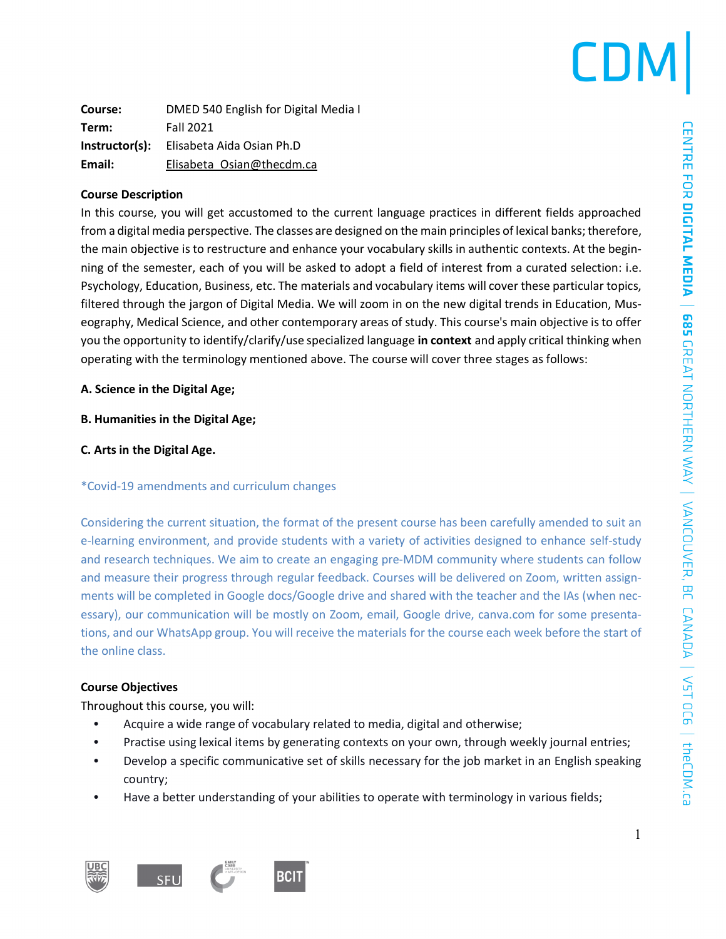### CDN

| Course:        | DMED 540 English for Digital Media I |  |
|----------------|--------------------------------------|--|
| Term:          | <b>Fall 2021</b>                     |  |
| Instructor(s): | Elisabeta Aida Osian Ph.D            |  |
| Email:         | Elisabeta Osian@thecdm.ca            |  |

### **Course Description**

In this course, you will get accustomed to the current language practices in different fields approached from a digital media perspective. The classes are designed on the main principles of lexical banks; therefore, the main objective is to restructure and enhance your vocabulary skills in authentic contexts. At the beginning of the semester, each of you will be asked to adopt a field of interest from a curated selection: i.e. Psychology, Education, Business, etc. The materials and vocabulary items will cover these particular topics, filtered through the jargon of Digital Media. We will zoom in on the new digital trends in Education, Museography, Medical Science, and other contemporary areas of study. This course's main objective is to offer you the opportunity to identify/clarify/use specialized language **in context** and apply critical thinking when operating with the terminology mentioned above. The course will cover three stages as follows:

### **A. Science in the Digital Age;**

### **B. Humanities in the Digital Age;**

**C. Arts in the Digital Age.**

#### \*Covid-19 amendments and curriculum changes

Considering the current situation, the format of the present course has been carefully amended to suit an e-learning environment, and provide students with a variety of activities designed to enhance self-study and research techniques. We aim to create an engaging pre-MDM community where students can follow and measure their progress through regular feedback. Courses will be delivered on Zoom, written assignments will be completed in Google docs/Google drive and shared with the teacher and the IAs (when necessary), our communication will be mostly on Zoom, email, Google drive, canva.com for some presentations, and our WhatsApp group. You will receive the materials for the course each week before the start of the online class.

### **Course Objectives**

Throughout this course, you will:

- Acquire a wide range of vocabulary related to media, digital and otherwise;
- Practise using lexical items by generating contexts on your own, through weekly journal entries;
- Develop a specific communicative set of skills necessary for the job market in an English speaking country;
- Have a better understanding of your abilities to operate with terminology in various fields;

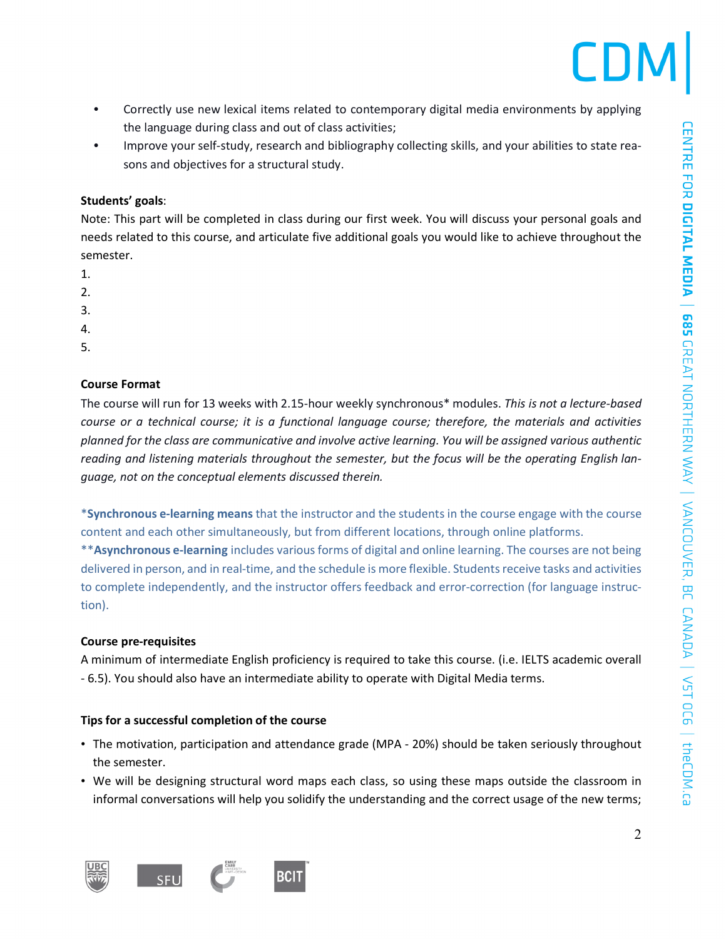

- Correctly use new lexical items related to contemporary digital media environments by applying the language during class and out of class activities;
- Improve your self-study, research and bibliography collecting skills, and your abilities to state reasons and objectives for a structural study.

#### **Students' goals**:

Note: This part will be completed in class during our first week. You will discuss your personal goals and needs related to this course, and articulate five additional goals you would like to achieve throughout the semester.

- 1.
- $2<sup>2</sup>$
- 3.
- 4.
- 5.

### **Course Format**

The course will run for 13 weeks with 2.15-hour weekly synchronous\* modules. *This is not a lecture-based course or a technical course; it is a functional language course; therefore, the materials and activities planned for the class are communicative and involve active learning. You will be assigned various authentic reading and listening materials throughout the semester, but the focus will be the operating English language, not on the conceptual elements discussed therein.*

\***Synchronous e-learning means** that the instructor and the students in the course engage with the course content and each other simultaneously, but from different locations, through online platforms. \*\***Asynchronous e-learning** includes various forms of digital and online learning. The courses are not being delivered in person, and in real-time, and the schedule is more flexible. Studentsreceive tasks and activities to complete independently, and the instructor offers feedback and error-correction (for language instruction).

### **Course pre-requisites**

A minimum of intermediate English proficiency is required to take this course. (i.e. IELTS academic overall - 6.5). You should also have an intermediate ability to operate with Digital Media terms.

### **Tips for a successful completion of the course**

- The motivation, participation and attendance grade (MPA 20%) should be taken seriously throughout the semester.
- We will be designing structural word maps each class, so using these maps outside the classroom in informal conversations will help you solidify the understanding and the correct usage of the new terms;

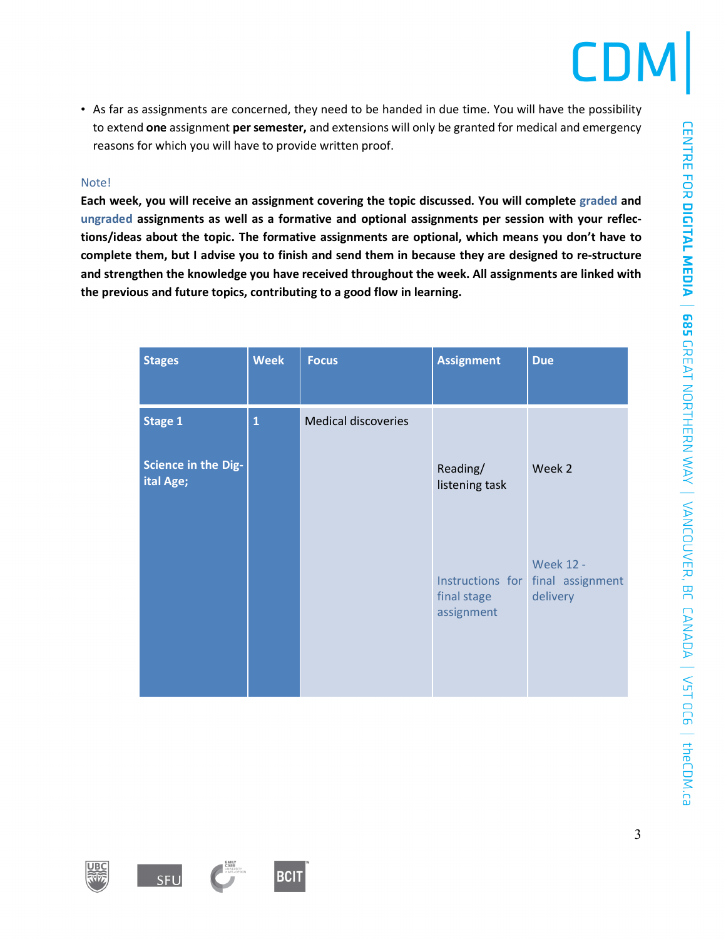• As far as assignments are concerned, they need to be handed in due time. You will have the possibility to extend **one** assignment **persemester,** and extensions will only be granted for medical and emergency reasons for which you will have to provide written proof.

#### Note!

**Each week, you will receive an assignment covering the topic discussed. You will complete graded and ungraded assignments as well as a formative and optional assignments per session with your reflections/ideas about the topic. The formative assignments are optional, which means you don't have to** complete them, but I advise you to finish and send them in because they are designed to re-structure **and strengthen the knowledge you have received throughout the week. All assignments are linked with the previous and future topics, contributing to a good flow in learning.**

| <b>Stages</b>                    | <b>Week</b>  | <b>Focus</b>               | <b>Assignment</b>          | <b>Due</b>                                                        |
|----------------------------------|--------------|----------------------------|----------------------------|-------------------------------------------------------------------|
| <b>Stage 1</b>                   | $\mathbf{1}$ | <b>Medical discoveries</b> |                            |                                                                   |
| Science in the Dig-<br>ital Age; |              |                            | Reading/<br>listening task | Week 2                                                            |
|                                  |              |                            | final stage<br>assignment  | <b>Week 12 -</b><br>Instructions for final assignment<br>delivery |









3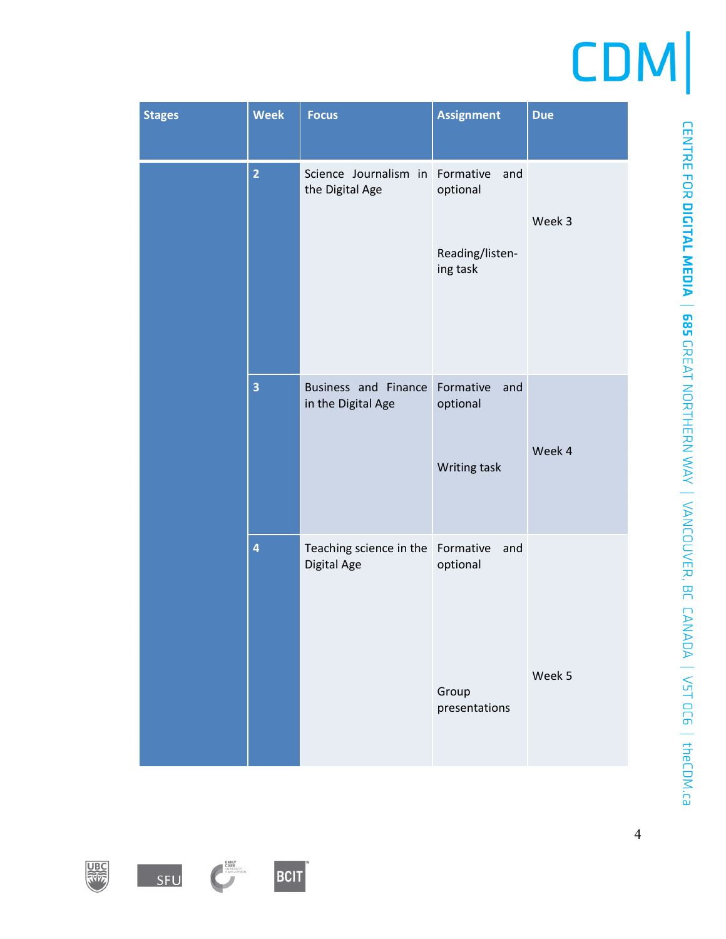| <b>Stages</b> | <b>Week</b>             | <b>Focus</b>                                     | <b>Assignment</b>                                           | <b>Due</b> |
|---------------|-------------------------|--------------------------------------------------|-------------------------------------------------------------|------------|
|               | $\overline{2}$          | Science Journalism in<br>the Digital Age         | Formative<br>and<br>optional<br>Reading/listen-<br>ing task | Week 3     |
|               |                         |                                                  |                                                             |            |
|               | 3                       | Business and Finance<br>in the Digital Age       | Formative<br>and<br>optional<br>Writing task                | Week 4     |
|               | $\overline{\mathbf{4}}$ | Teaching science in the Formative<br>Digital Age | and<br>optional                                             |            |
|               |                         |                                                  | Group<br>presentations                                      | Week 5     |









4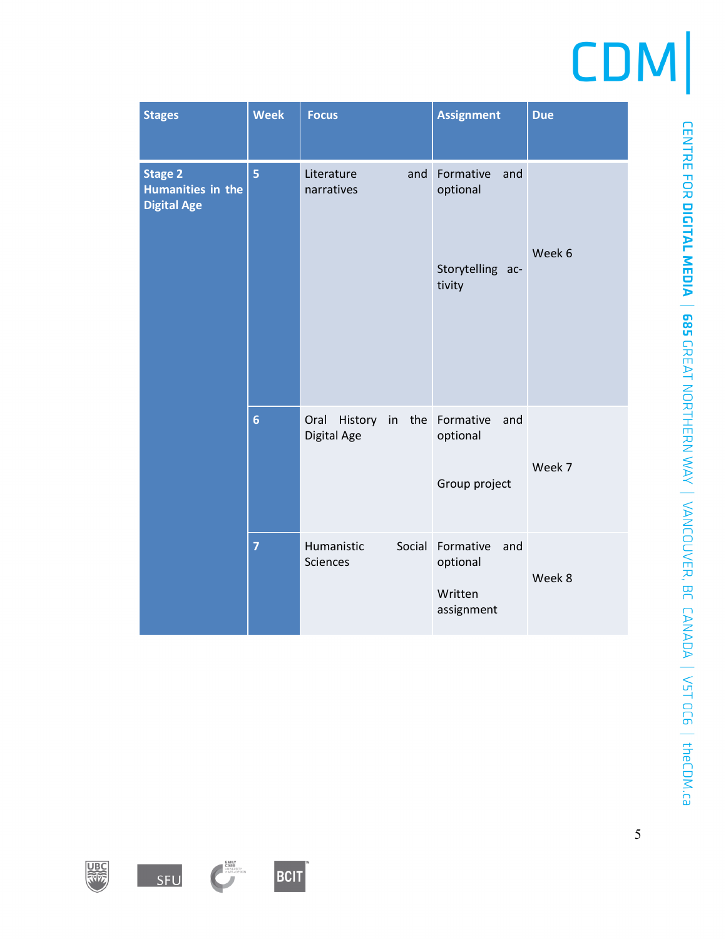| <b>Stages</b>                                             | <b>Week</b>     | <b>Focus</b>                         | <b>Assignment</b>                                          | <b>Due</b> |
|-----------------------------------------------------------|-----------------|--------------------------------------|------------------------------------------------------------|------------|
| <b>Stage 2</b><br>Humanities in the<br><b>Digital Age</b> | 5               | and<br>Literature<br>narratives      | Formative<br>and<br>optional<br>Storytelling ac-<br>tivity | Week 6     |
|                                                           | $6\phantom{1}6$ | Oral<br>History<br>in<br>Digital Age | the Formative<br>and<br>optional<br>Group project          | Week 7     |
|                                                           | $\overline{7}$  | Humanistic<br>Social<br>Sciences     | Formative<br>and<br>optional<br>Written<br>assignment      | Week 8     |









CENTRE FOR DICITAL MEDIA | 685 GREAT NORTHERN WAY | VANCOUVER, BC CANADA | V5T OC6 | theCDM.ca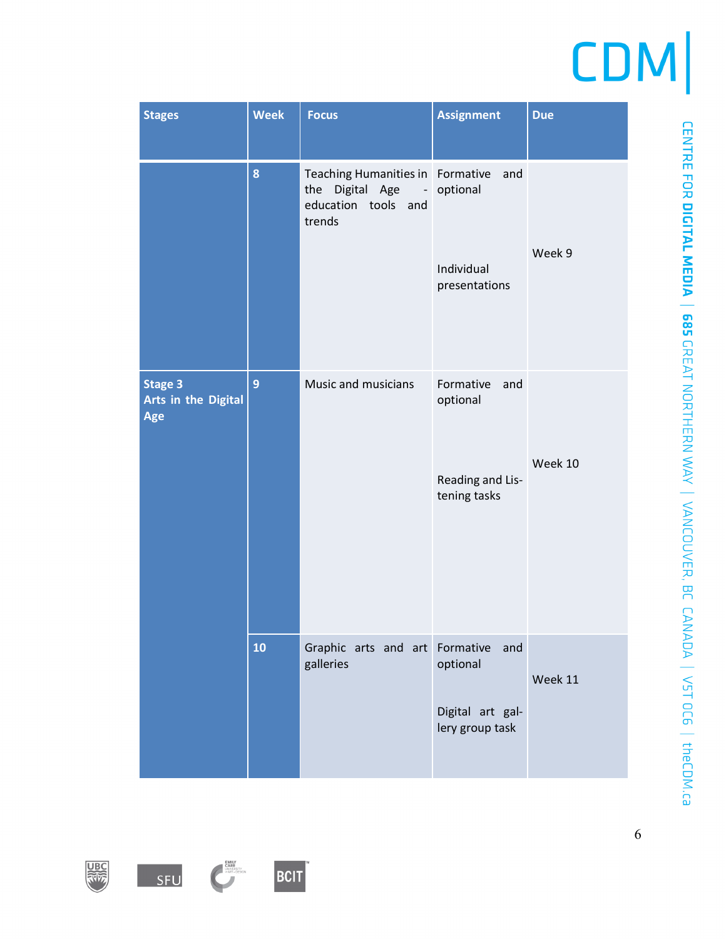| <b>Stages</b>                                     | <b>Week</b> | <b>Focus</b>                                                                                    | <b>Assignment</b>                                                | <b>Due</b> |
|---------------------------------------------------|-------------|-------------------------------------------------------------------------------------------------|------------------------------------------------------------------|------------|
|                                                   | 8           | Teaching Humanities in<br>Digital Age<br>the<br>$\blacksquare$<br>education tools and<br>trends | Formative<br>and<br>optional<br>Individual<br>presentations      | Week 9     |
| 9<br><b>Stage 3</b><br>Arts in the Digital<br>Age |             | Music and musicians                                                                             | Formative<br>and<br>optional<br>Reading and Lis-<br>tening tasks | Week 10    |
|                                                   | 10          | Graphic arts and art Formative<br>galleries                                                     | and<br>optional<br>Digital art gal-<br>lery group task           | Week 11    |







EMILY<br>CHRISTY<br>ORIGINAL CHARGES OF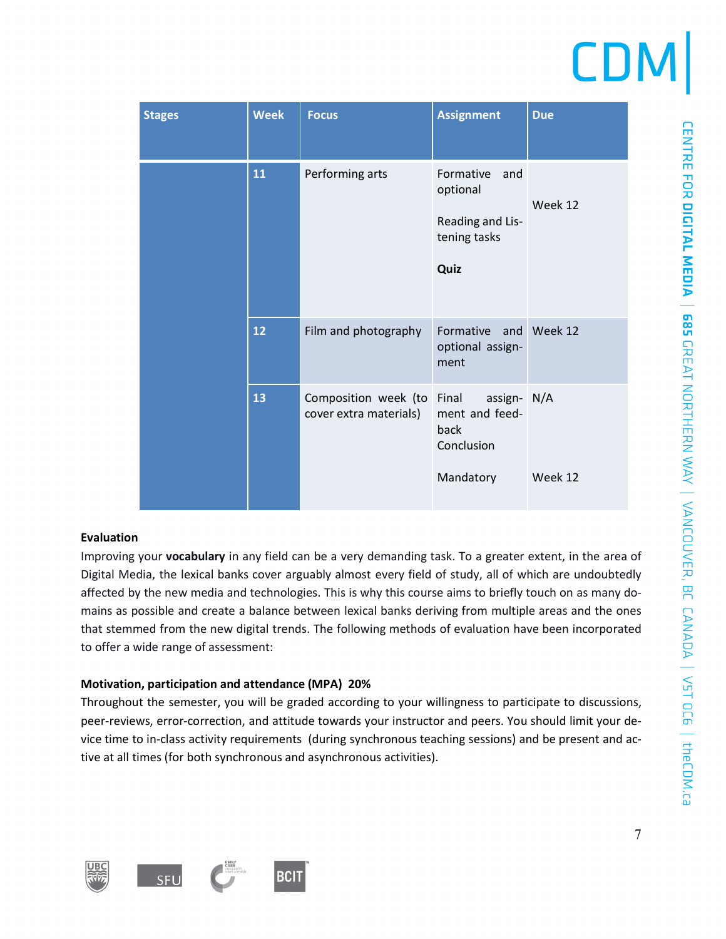| <b>Stages</b> | <b>Week</b> | <b>Focus</b>                                   | <b>Assignment</b>                                                         | <b>Due</b> |
|---------------|-------------|------------------------------------------------|---------------------------------------------------------------------------|------------|
|               | 11          | Performing arts                                | Formative<br>and<br>optional<br>Reading and Lis-<br>tening tasks<br>Quiz  | Week 12    |
|               | 12          | Film and photography                           | Formative<br>and<br>optional assign-<br>ment                              | Week 12    |
|               | 13          | Composition week (to<br>cover extra materials) | Final<br>assign- N/A<br>ment and feed-<br>back<br>Conclusion<br>Mandatory | Week 12    |
|               |             |                                                |                                                                           |            |

### **Evaluation**

Improving your **vocabulary** in any field can be a very demanding task. To a greater extent, in the area of Digital Media, the lexical banks cover arguably almost every field of study, all of which are undoubtedly affected by the new media and technologies. This is why this course aims to briefly touch on as many domains as possible and create a balance between lexical banks deriving from multiple areas and the ones that stemmed from the new digital trends. The following methods of evaluation have been incorporated to offer a wide range of assessment:

### **Motivation, participation and attendance (MPA) 20%**

Throughout the semester, you will be graded according to your willingness to participate to discussions, peer-reviews, error-correction, and attitude towards your instructor and peers. You should limit your device time to in-class activity requirements (during synchronous teaching sessions) and be present and active at all times (for both synchronous and asynchronous activities).

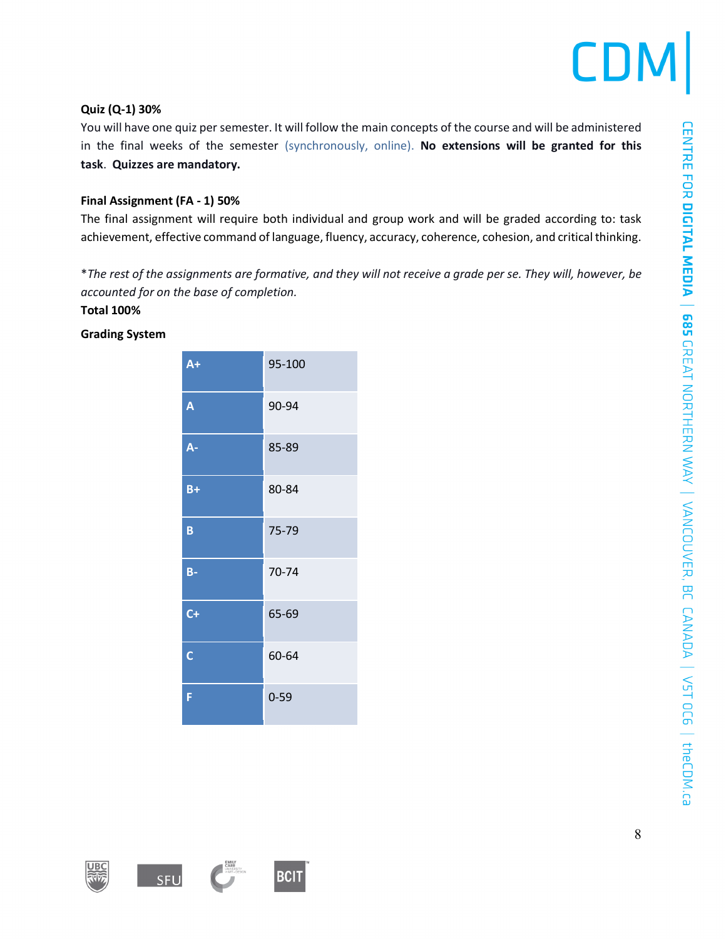### **Quiz (Q-1) 30%**

You will have one quiz per semester. It will follow the main concepts of the course and will be administered in the final weeks of the semester (synchronously, online). **No extensions will be granted for this task**. **Quizzes are mandatory.**

### **Final Assignment (FA - 1) 50%**

The final assignment will require both individual and group work and will be graded according to: task achievement, effective command of language, fluency, accuracy, coherence, cohesion, and critical thinking.

\*The rest of the assignments are formative, and they will not receive a grade per se. They will, however, be *accounted for on the base of completion.*

### **Total 100%**

### **Grading System**

| $A+$                    | 95-100   |
|-------------------------|----------|
| A                       | 90-94    |
| A-                      | 85-89    |
| $B+$                    | 80-84    |
| B                       | 75-79    |
| $B -$                   | 70-74    |
| $C +$                   | 65-69    |
| $\overline{\mathsf{C}}$ | 60-64    |
| Ë                       | $0 - 59$ |